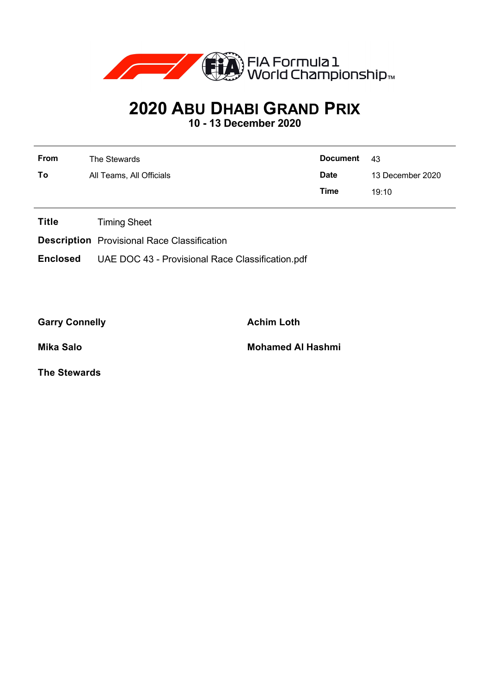

## **2020 ABU DHABI GRAND PRIX**

**10 - 13 December 2020**

| <b>From</b> | The Stewards             | <b>Document</b> | -43              |  |  |
|-------------|--------------------------|-----------------|------------------|--|--|
| To          | All Teams, All Officials | <b>Date</b>     | 13 December 2020 |  |  |
|             |                          | Time            | 19:10            |  |  |

**Title** Timing Sheet

**Description** Provisional Race Classification

**Enclosed** UAE DOC 43 - Provisional Race Classification.pdf

Garry Connelly **Achim Loth** 

**Mika Salo Mohamed Al Hashmi**

**The Stewards**